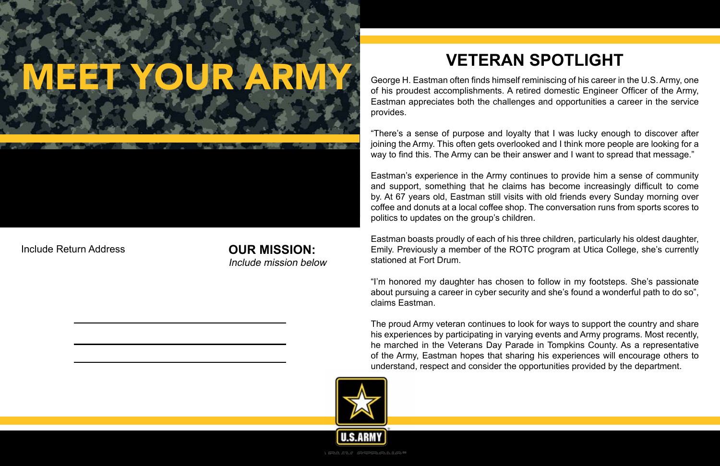# MEET YOUR ARMY

#### **OUR MISSION:**

Include mission below

"There's a sense of purpose and loyalty that I was lucky enough to discover after joining the Army. This often gets overlooked and I think more people are looking for a way to find this. The Army can be their answer and I want to spread that message."

George H. Eastman often finds himself reminiscing of his career in the U.S. Army, one of his proudest accomplishments. A retired domestic Engineer Officer of the Army, Eastman appreciates both the challenges and opportunities a career in the service provides.

Eastman's experience in the Army continues to provide him a sense of community and support, something that he claims has become increasingly difficult to come by. At 67 years old, Eastman still visits with old friends every Sunday morning over coffee and donuts at a local coffee shop. The conversation runs from sports scores to politics to updates on the group's children.

Eastman boasts proudly of each of his three children, particularly his oldest daughter, Emily. Previously a member of the ROTC program at Utica College, she's currently stationed at Fort Drum.

"I'm honored my daughter has chosen to follow in my footsteps. She's passionate about pursuing a career in cyber security and she's found a wonderful path to do so", claims Eastman.

The proud Army veteran continues to look for ways to support the country and share his experiences by participating in varying events and Army programs. Most recently, he marched in the Veterans Day Parade in Tompkins County. As a representative of the Army, Eastman hopes that sharing his experiences will encourage others to understand, respect and consider the opportunities provided by the department.



Include Return Address

### **VETERAN SPOTLIGHT**